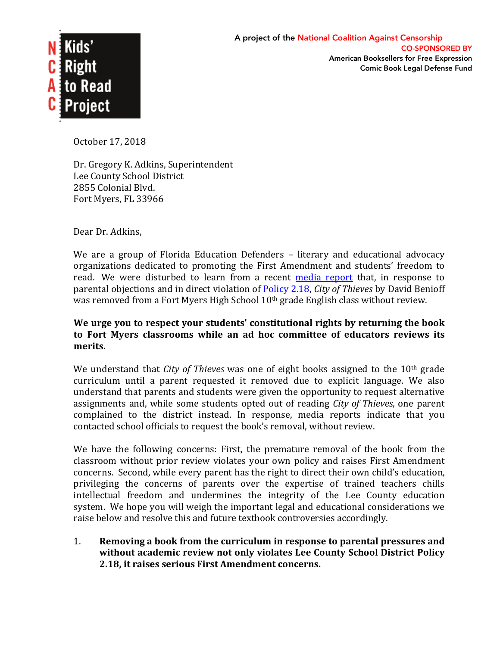

October 17, 2018

Dr. Gregory K. Adkins, Superintendent Lee County School District 2855 Colonial Blvd. Fort Myers, FL 33966

Dear Dr. Adkins,

We are a group of Florida Education Defenders  $-$  literary and educational advocacy organizations dedicated to promoting the First Amendment and students' freedom to read. We were disturbed to learn from a recent media report that, in response to parental objections and in direct violation of **Policy 2.18,** *City of Thieves* by David Benioff was removed from a Fort Myers High School  $10<sup>th</sup>$  grade English class without review.

## We urge you to respect your students' constitutional rights by returning the book to Fort Myers classrooms while an ad hoc committee of educators reviews its **merits.**

We understand that *City of Thieves* was one of eight books assigned to the 10<sup>th</sup> grade curriculum until a parent requested it removed due to explicit language. We also understand that parents and students were given the opportunity to request alternative assignments and, while some students opted out of reading *City of Thieves*, one parent complained to the district instead. In response, media reports indicate that you contacted school officials to request the book's removal, without review.

We have the following concerns: First, the premature removal of the book from the classroom without prior review violates your own policy and raises First Amendment concerns. Second, while every parent has the right to direct their own child's education, privileging the concerns of parents over the expertise of trained teachers chills intellectual freedom and undermines the integrity of the Lee County education system. We hope you will weigh the important legal and educational considerations we raise below and resolve this and future textbook controversies accordingly.

1. Removing a book from the curriculum in response to parental pressures and without academic review not only violates Lee County School District Policy **2.18, it raises serious First Amendment concerns.**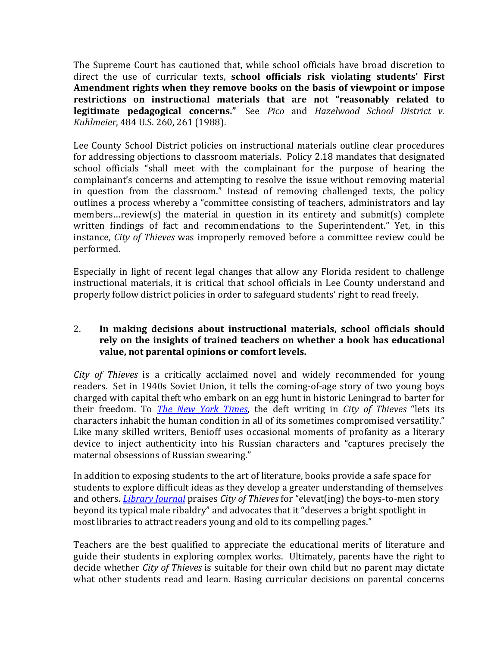The Supreme Court has cautioned that, while school officials have broad discretion to direct the use of curricular texts, **school officials risk violating students' First** Amendment rights when they remove books on the basis of viewpoint or impose restrictions on instructional materials that are not "reasonably related to **legitimate pedagogical concerns."** See Pico and Hazelwood School District v. *Kuhlmeier*, 484 U.S. 260, 261 (1988).

Lee County School District policies on instructional materials outline clear procedures for addressing objections to classroom materials. Policy 2.18 mandates that designated school officials "shall meet with the complainant for the purpose of hearing the complainant's concerns and attempting to resolve the issue without removing material in question from the classroom." Instead of removing challenged texts, the policy outlines a process whereby a "committee consisting of teachers, administrators and lay members... review(s) the material in question in its entirety and submit(s) complete written findings of fact and recommendations to the Superintendent." Yet, in this instance, *City of Thieves* was improperly removed before a committee review could be performed. 

Especially in light of recent legal changes that allow any Florida resident to challenge instructional materials, it is critical that school officials in Lee County understand and properly follow district policies in order to safeguard students' right to read freely.

## 2. In making decisions about instructional materials, school officials should rely on the insights of trained teachers on whether a book has educational value, not parental opinions or comfort levels.

*City* of Thieves is a critically acclaimed novel and widely recommended for young readers. Set in 1940s Soviet Union, it tells the coming-of-age story of two young boys charged with capital theft who embark on an egg hunt in historic Leningrad to barter for their freedom. To *The New York Times*, the deft writing in *City of Thieves* "lets its characters inhabit the human condition in all of its sometimes compromised versatility." Like many skilled writers, Benioff uses occasional moments of profanity as a literary device to inject authenticity into his Russian characters and "captures precisely the maternal obsessions of Russian swearing."

In addition to exposing students to the art of literature, books provide a safe space for students to explore difficult ideas as they develop a greater understanding of themselves and others. *Library Journal* praises *City of Thieves* for "elevat(ing) the boys-to-men story beyond its typical male ribaldry" and advocates that it "deserves a bright spotlight in most libraries to attract readers young and old to its compelling pages."

Teachers are the best qualified to appreciate the educational merits of literature and guide their students in exploring complex works. Ultimately, parents have the right to decide whether *City of Thieves* is suitable for their own child but no parent may dictate what other students read and learn. Basing curricular decisions on parental concerns